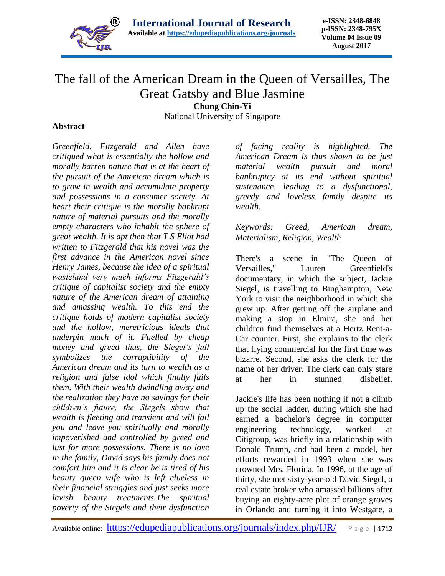

## The fall of the American Dream in the Queen of Versailles, The Great Gatsby and Blue Jasmine

**Chung Chin-Yi**

National University of Singapore

## **Abstract**

*Greenfield, Fitzgerald and Allen have critiqued what is essentially the hollow and morally barren nature that is at the heart of the pursuit of the American dream which is to grow in wealth and accumulate property and possessions in a consumer society. At heart their critique is the morally bankrupt nature of material pursuits and the morally empty characters who inhabit the sphere of great wealth. It is apt then that T S Eliot had written to Fitzgerald that his novel was the first advance in the American novel since Henry James, because the idea of a spiritual wasteland very much informs Fitzgerald's critique of capitalist society and the empty nature of the American dream of attaining and amassing wealth. To this end the critique holds of modern capitalist society and the hollow, meretricious ideals that underpin much of it. Fuelled by cheap money and greed thus, the Siegel's fall symbolizes the corruptibility of the American dream and its turn to wealth as a religion and false idol which finally fails them. With their wealth dwindling away and the realization they have no savings for their children's future, the Siegels show that wealth is fleeting and transient and will fail you and leave you spiritually and morally impoverished and controlled by greed and lust for more possessions. There is no love in the family, David says his family does not comfort him and it is clear he is tired of his beauty queen wife who is left clueless in their financial struggles and just seeks more lavish beauty treatments.The spiritual poverty of the Siegels and their dysfunction* 

*of facing reality is highlighted. The American Dream is thus shown to be just material wealth pursuit and moral bankruptcy at its end without spiritual sustenance, leading to a dysfunctional, greedy and loveless family despite its wealth.*

*Keywords: Greed, American dream, Materialism, Religion, Wealth*

There's a scene in "The Queen of Versailles," Lauren Greenfield's documentary, in which the subject, Jackie Siegel, is travelling to Binghampton, New York to visit the neighborhood in which she grew up. After getting off the airplane and making a stop in Elmira, she and her children find themselves at a Hertz Rent-a-Car counter. First, she explains to the clerk that flying commercial for the first time was bizarre. Second, she asks the clerk for the name of her driver. The clerk can only stare at her in stunned disbelief.

Jackie's life has been nothing if not a climb up the social ladder, during which she had earned a bachelor's degree in computer engineering technology, worked at Citigroup, was briefly in a relationship with Donald Trump, and had been a model, her efforts rewarded in 1993 when she was crowned Mrs. Florida. In 1996, at the age of thirty, she met sixty-year-old David Siegel, a real estate broker who amassed billions after buying an eighty-acre plot of orange groves in Orlando and turning it into Westgate, a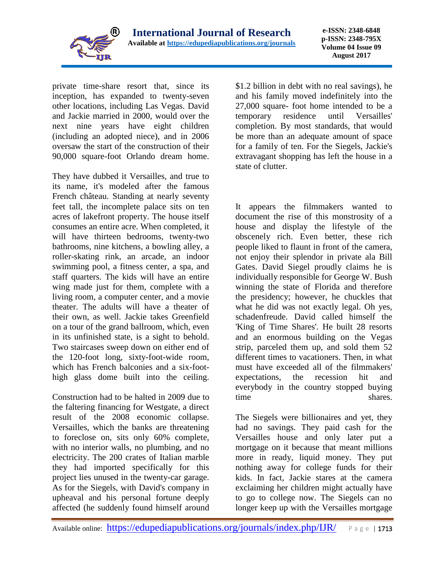

private time-share resort that, since its inception, has expanded to twenty-seven other locations, including Las Vegas. David and Jackie married in 2000, would over the next nine years have eight children (including an adopted niece), and in 2006 oversaw the start of the construction of their 90,000 square-foot Orlando dream home.

They have dubbed it Versailles, and true to its name, it's modeled after the famous French château. Standing at nearly seventy feet tall, the incomplete palace sits on ten acres of lakefront property. The house itself consumes an entire acre. When completed, it will have thirteen bedrooms, twenty-two bathrooms, nine kitchens, a bowling alley, a roller-skating rink, an arcade, an indoor swimming pool, a fitness center, a spa, and staff quarters. The kids will have an entire wing made just for them, complete with a living room, a computer center, and a movie theater. The adults will have a theater of their own, as well. Jackie takes Greenfield on a tour of the grand ballroom, which, even in its unfinished state, is a sight to behold. Two staircases sweep down on either end of the 120-foot long, sixty-foot-wide room, which has French balconies and a six-foothigh glass dome built into the ceiling.

Construction had to be halted in 2009 due to the faltering financing for Westgate, a direct result of the 2008 economic collapse. Versailles, which the banks are threatening to foreclose on, sits only 60% complete, with no interior walls, no plumbing, and no electricity. The 200 crates of Italian marble they had imported specifically for this project lies unused in the twenty-car garage. As for the Siegels, with David's company in upheaval and his personal fortune deeply affected (he suddenly found himself around \$1.2 billion in debt with no real savings), he and his family moved indefinitely into the 27,000 square- foot home intended to be a temporary residence until Versailles' completion. By most standards, that would be more than an adequate amount of space for a family of ten. For the Siegels, Jackie's extravagant shopping has left the house in a state of clutter.

It appears the filmmakers wanted to document the rise of this monstrosity of a house and display the lifestyle of the obscenely rich. Even better, these rich people liked to flaunt in front of the camera, not enjoy their splendor in private ala Bill Gates. David Siegel proudly claims he is individually responsible for George W. Bush winning the state of Florida and therefore the presidency; however, he chuckles that what he did was not exactly legal. Oh yes, schadenfreude. David called himself the 'King of Time Shares'. He built 28 resorts and an enormous building on the Vegas strip, parceled them up, and sold them 52 different times to vacationers. Then, in what must have exceeded all of the filmmakers' expectations, the recession hit and everybody in the country stopped buying time shares.

The Siegels were billionaires and yet, they had no savings. They paid cash for the Versailles house and only later put a mortgage on it because that meant millions more in ready, liquid money. They put nothing away for college funds for their kids. In fact, Jackie stares at the camera exclaiming her children might actually have to go to college now. The Siegels can no longer keep up with the Versailles mortgage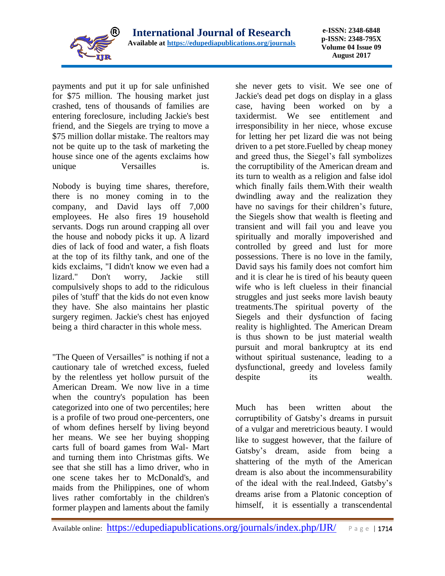

payments and put it up for sale unfinished for \$75 million. The housing market just crashed, tens of thousands of families are entering foreclosure, including Jackie's best friend, and the Siegels are trying to move a \$75 million dollar mistake. The realtors may not be quite up to the task of marketing the house since one of the agents exclaims how unique Versailles is.

Nobody is buying time shares, therefore, there is no money coming in to the company, and David lays off 7,000 employees. He also fires 19 household servants. Dogs run around crapping all over the house and nobody picks it up. A lizard dies of lack of food and water, a fish floats at the top of its filthy tank, and one of the kids exclaims, "I didn't know we even had a lizard." Don't worry, Jackie still compulsively shops to add to the ridiculous piles of 'stuff' that the kids do not even know they have. She also maintains her plastic surgery regimen. Jackie's chest has enjoyed being a third character in this whole mess.

"The Queen of Versailles" is nothing if not a cautionary tale of wretched excess, fueled by the relentless yet hollow pursuit of the American Dream. We now live in a time when the country's population has been categorized into one of two percentiles; here is a profile of two proud one-percenters, one of whom defines herself by living beyond her means. We see her buying shopping carts full of board games from Wal- Mart and turning them into Christmas gifts. We see that she still has a limo driver, who in one scene takes her to McDonald's, and maids from the Philippines, one of whom lives rather comfortably in the children's former playpen and laments about the family

she never gets to visit. We see one of Jackie's dead pet dogs on display in a glass case, having been worked on by a taxidermist. We see entitlement and irresponsibility in her niece, whose excuse for letting her pet lizard die was not being driven to a pet store.Fuelled by cheap money and greed thus, the Siegel's fall symbolizes the corruptibility of the American dream and its turn to wealth as a religion and false idol which finally fails them.With their wealth dwindling away and the realization they have no savings for their children's future, the Siegels show that wealth is fleeting and transient and will fail you and leave you spiritually and morally impoverished and controlled by greed and lust for more possessions. There is no love in the family, David says his family does not comfort him and it is clear he is tired of his beauty queen wife who is left clueless in their financial struggles and just seeks more lavish beauty treatments.The spiritual poverty of the Siegels and their dysfunction of facing reality is highlighted. The American Dream is thus shown to be just material wealth pursuit and moral bankruptcy at its end without spiritual sustenance, leading to a dysfunctional, greedy and loveless family despite its wealth.

Much has been written about the corruptibility of Gatsby's dreams in pursuit of a vulgar and meretricious beauty. I would like to suggest however, that the failure of Gatsby's dream, aside from being a shattering of the myth of the American dream is also about the incommensurability of the ideal with the real.Indeed, Gatsby's dreams arise from a Platonic conception of himself, it is essentially a transcendental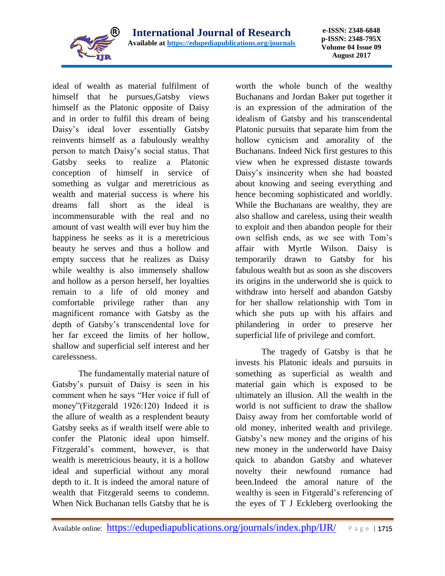

ideal of wealth as material fulfilment of himself that he pursues,Gatsby views himself as the Platonic opposite of Daisy and in order to fulfil this dream of being Daisy's ideal lover essentially Gatsby reinvents himself as a fabulously wealthy person to match Daisy's social status. That Gatsby seeks to realize a Platonic conception of himself in service of something as vulgar and meretricious as wealth and material success is where his dreams fall short as the ideal is incommensurable with the real and no amount of vast wealth will ever buy him the happiness he seeks as it is a meretricious beauty he serves and thus a hollow and empty success that he realizes as Daisy while wealthy is also immensely shallow and hollow as a person herself, her loyalties remain to a life of old money and comfortable privilege rather than any magnificent romance with Gatsby as the depth of Gatsby's transcendental love for her far exceed the limits of her hollow, shallow and superficial self interest and her carelessness.

The fundamentally material nature of Gatsby's pursuit of Daisy is seen in his comment when he says "Her voice if full of money"(Fitzgerald 1926:120) Indeed it is the allure of wealth as a resplendent beauty Gatsby seeks as if wealth itself were able to confer the Platonic ideal upon himself. Fitzgerald's comment, however, is that wealth is meretricious beauty, it is a hollow ideal and superficial without any moral depth to it. It is indeed the amoral nature of wealth that Fitzgerald seems to condemn. When Nick Buchanan tells Gatsby that he is

worth the whole bunch of the wealthy Buchanans and Jordan Baker put together it is an expression of the admiration of the idealism of Gatsby and his transcendental Platonic pursuits that separate him from the hollow cynicism and amorality of the Buchanans. Indeed Nick first gestures to this view when he expressed distaste towards Daisy's insincerity when she had boasted about knowing and seeing everything and hence becoming sophisticated and worldly. While the Buchanans are wealthy, they are also shallow and careless, using their wealth to exploit and then abandon people for their own selfish ends, as we see with Tom's affair with Myrtle Wilson. Daisy is temporarily drawn to Gatsby for his fabulous wealth but as soon as she discovers its origins in the underworld she is quick to withdraw into herself and abandon Gatsby for her shallow relationship with Tom in which she puts up with his affairs and philandering in order to preserve her superficial life of privilege and comfort.

The tragedy of Gatsby is that he invests his Platonic ideals and pursuits in something as superficial as wealth and material gain which is exposed to be ultimately an illusion. All the wealth in the world is not sufficient to draw the shallow Daisy away from her comfortable world of old money, inherited wealth and privilege. Gatsby's new money and the origins of his new money in the underworld have Daisy quick to abandon Gatsby and whatever novelty their newfound romance had been.Indeed the amoral nature of the wealthy is seen in Fitgerald's referencing of the eyes of T J Eckleberg overlooking the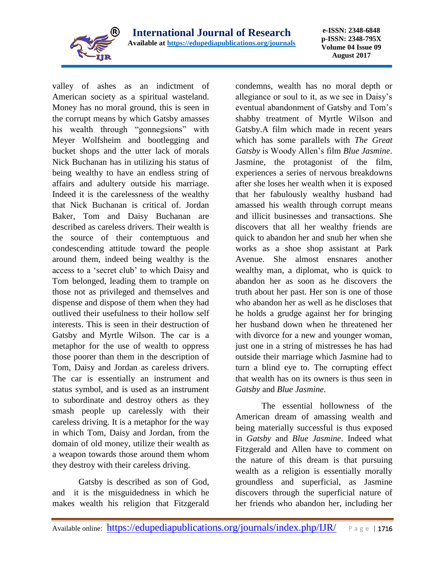

valley of ashes as an indictment of American society as a spiritual wasteland. Money has no moral ground, this is seen in the corrupt means by which Gatsby amasses his wealth through "gonnegsions" with Meyer Wolfsheim and bootlegging and bucket shops and the utter lack of morals Nick Buchanan has in utilizing his status of being wealthy to have an endless string of affairs and adultery outside his marriage. Indeed it is the carelessness of the wealthy that Nick Buchanan is critical of. Jordan Baker, Tom and Daisy Buchanan are described as careless drivers. Their wealth is the source of their contemptuous and condescending attitude toward the people around them, indeed being wealthy is the access to a 'secret club' to which Daisy and Tom belonged, leading them to trample on those not as privileged and themselves and dispense and dispose of them when they had outlived their usefulness to their hollow self interests. This is seen in their destruction of Gatsby and Myrtle Wilson. The car is a metaphor for the use of wealth to oppress those poorer than them in the description of Tom, Daisy and Jordan as careless drivers. The car is essentially an instrument and status symbol, and is used as an instrument to subordinate and destroy others as they smash people up carelessly with their careless driving. It is a metaphor for the way in which Tom, Daisy and Jordan, from the domain of old money, utilize their wealth as a weapon towards those around them whom they destroy with their careless driving.

Gatsby is described as son of God, and it is the misguidedness in which he makes wealth his religion that Fitzgerald condemns, wealth has no moral depth or allegiance or soul to it, as we see in Daisy's eventual abandonment of Gatsby and Tom's shabby treatment of Myrtle Wilson and Gatsby.A film which made in recent years which has some parallels with *The Great Gatsby* is Woody Allen's film *Blue Jasmine*. Jasmine, the protagonist of the film, experiences a series of nervous breakdowns after she loses her wealth when it is exposed that her fabulously wealthy husband had amassed his wealth through corrupt means and illicit businesses and transactions. She discovers that all her wealthy friends are quick to abandon her and snub her when she works as a shoe shop assistant at Park Avenue. She almost ensnares another wealthy man, a diplomat, who is quick to abandon her as soon as he discovers the truth about her past. Her son is one of those who abandon her as well as he discloses that he holds a grudge against her for bringing her husband down when he threatened her with divorce for a new and younger woman, just one in a string of mistresses he has had outside their marriage which Jasmine had to turn a blind eye to. The corrupting effect that wealth has on its owners is thus seen in *Gatsby* and *Blue Jasmine.*

The essential hollowness of the American dream of amassing wealth and being materially successful is thus exposed in *Gatsby* and *Blue Jasmine*. Indeed what Fitzgerald and Allen have to comment on the nature of this dream is that pursuing wealth as a religion is essentially morally groundless and superficial, as Jasmine discovers through the superficial nature of her friends who abandon her, including her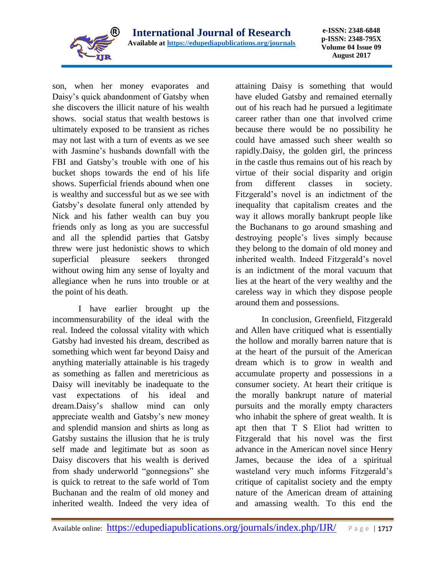

son, when her money evaporates and Daisy's quick abandonment of Gatsby when she discovers the illicit nature of his wealth shows. social status that wealth bestows is ultimately exposed to be transient as riches may not last with a turn of events as we see with Jasmine's husbands downfall with the FBI and Gatsby's trouble with one of his bucket shops towards the end of his life shows. Superficial friends abound when one is wealthy and successful but as we see with Gatsby's desolate funeral only attended by Nick and his father wealth can buy you friends only as long as you are successful and all the splendid parties that Gatsby threw were just hedonistic shows to which superficial pleasure seekers thronged without owing him any sense of loyalty and allegiance when he runs into trouble or at the point of his death.

I have earlier brought up the incommensurability of the ideal with the real. Indeed the colossal vitality with which Gatsby had invested his dream, described as something which went far beyond Daisy and anything materially attainable is his tragedy as something as fallen and meretricious as Daisy will inevitably be inadequate to the vast expectations of his ideal and dream.Daisy's shallow mind can only appreciate wealth and Gatsby's new money and splendid mansion and shirts as long as Gatsby sustains the illusion that he is truly self made and legitimate but as soon as Daisy discovers that his wealth is derived from shady underworld "gonnegsions" she is quick to retreat to the safe world of Tom Buchanan and the realm of old money and inherited wealth. Indeed the very idea of

attaining Daisy is something that would have eluded Gatsby and remained eternally out of his reach had he pursued a legitimate career rather than one that involved crime because there would be no possibility he could have amassed such sheer wealth so rapidly.Daisy, the golden girl, the princess in the castle thus remains out of his reach by virtue of their social disparity and origin from different classes in society. Fitzgerald's novel is an indictment of the inequality that capitalism creates and the way it allows morally bankrupt people like the Buchanans to go around smashing and destroying people's lives simply because they belong to the domain of old money and inherited wealth. Indeed Fitzgerald's novel is an indictment of the moral vacuum that lies at the heart of the very wealthy and the careless way in which they dispose people around them and possessions.

In conclusion, Greenfield, Fitzgerald and Allen have critiqued what is essentially the hollow and morally barren nature that is at the heart of the pursuit of the American dream which is to grow in wealth and accumulate property and possessions in a consumer society. At heart their critique is the morally bankrupt nature of material pursuits and the morally empty characters who inhabit the sphere of great wealth. It is apt then that T S Eliot had written to Fitzgerald that his novel was the first advance in the American novel since Henry James, because the idea of a spiritual wasteland very much informs Fitzgerald's critique of capitalist society and the empty nature of the American dream of attaining and amassing wealth. To this end the